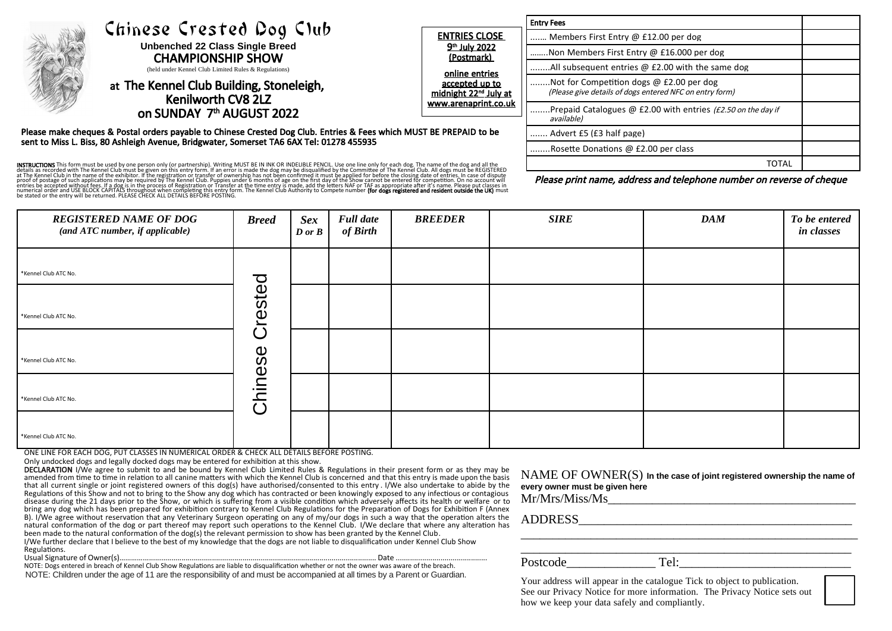|  |                                                                                                                                                                                                                                                       |                                                                                                                                                                  | <b>Entry Fees</b>                                                                                   |  |
|--|-------------------------------------------------------------------------------------------------------------------------------------------------------------------------------------------------------------------------------------------------------|------------------------------------------------------------------------------------------------------------------------------------------------------------------|-----------------------------------------------------------------------------------------------------|--|
|  | Chinese Crested Dog Club<br><b>Unbenched 22 Class Single Breed</b><br><b>CHAMPIONSHIP SHOW</b><br>(held under Kennel Club Limited Rules & Regulations)<br>at The Kennel Club Building, Stoneleigh,<br>Kenilworth CV8 2LZ<br>on SUNDAY 7th AUGUST 2022 | <b>ENTRIES CLOSE</b><br>9 <sup>th</sup> July 2022<br>(Postmark)<br>online entries<br>accepted up to<br>midnight 22 <sup>nd</sup> July at<br>www.arenaprint.co.uk | Members First Entry @ £12.00 per dog                                                                |  |
|  |                                                                                                                                                                                                                                                       |                                                                                                                                                                  | Non Members First Entry @ £16.000 per dog                                                           |  |
|  |                                                                                                                                                                                                                                                       |                                                                                                                                                                  | All subsequent entries @ £2.00 with the same dog                                                    |  |
|  |                                                                                                                                                                                                                                                       |                                                                                                                                                                  | Not for Competition dogs @ £2.00 per dog<br>(Please give details of dogs entered NFC on entry form) |  |
|  |                                                                                                                                                                                                                                                       |                                                                                                                                                                  | Prepaid Catalogues @ £2.00 with entries (£2.50 on the day if<br>available)                          |  |
|  | Please make cheques & Postal orders payable to Chinese Crested Dog Club. Entries & Fees which MUST BE PREPAID to be                                                                                                                                   | Advert £5 (£3 half page)                                                                                                                                         |                                                                                                     |  |
|  | sent to Miss L. Biss, 80 Ashleigh Avenue, Bridgwater, Somerset TA6 6AX Tel: 01278 455935                                                                                                                                                              |                                                                                                                                                                  | Rosette Donations @ £2.00 per class                                                                 |  |
|  |                                                                                                                                                                                                                                                       | <b>TOTAL</b>                                                                                                                                                     |                                                                                                     |  |
|  | <b>ISTRUCTIONS</b> This form must be used by one person only (or partnership). Writing MUST BE IN INK OR INDELIBLE PENCIL. Use one line only for each dog. The name of the dog and all the<br>telais as recorded with The Kennel Club                 |                                                                                                                                                                  | Please print name, address and telephone number on reverse of cheque                                |  |

INSTRUCTIONS This form must be used by one person only (or partnership). Writing MUST BE IN INK OR INDELIBLE PENCIL. Use one line only for each dog. The name of the dog and all the details as recorded with The Kennel Club must be given on this entry form. If an error is made the dog may be disqualified by the Committee of The Kennel Club. All dogs must be REGISTERED at The Kennel Club in the name of the exhibitor. If the registration or transfer of ownership has not been confirmed it must be applied for before the closing date of entries. In case of dispute proof of postage of such applications may be required by The Kennel Club. Puppies under 6 months of age on the first day of the Show cannot be entered for competition. On no account will entries be accepted without fees. If a dog is in the process of Registration or Transfer at the time entry is made, add the letters NAF or TAF as appropriate after it's name. Please put classes in numerical order and USE BLOCK CAPITALS throughout when completing this entry form. The Kennel Club Authority to Compete number **(for dogs registered and resident outside the UK)** must<br>be stated or the entry will be returne

| <b>REGISTERED NAME OF DOG</b><br>(and ATC number, if applicable) | <b>Breed</b> | <b>Sex</b><br>D or B | <b>Full date</b><br>of Birth | <b>BREEDER</b> | <b>SIRE</b> | <b>DAM</b> | To be entered<br>in classes |
|------------------------------------------------------------------|--------------|----------------------|------------------------------|----------------|-------------|------------|-----------------------------|
| *Kennel Club ATC No.                                             |              |                      |                              |                |             |            |                             |
| *Kennel Club ATC No.                                             | Crested      |                      |                              |                |             |            |                             |
| *Kennel Club ATC No.                                             |              |                      |                              |                |             |            |                             |
| *Kennel Club ATC No.                                             | Chinese      |                      |                              |                |             |            |                             |
| *Kennel Club ATC No.                                             |              |                      |                              |                |             |            |                             |

ONE LINE FOR EACH DOG, PUT CLASSES IN NUMERICAL ORDER & CHECK ALL DETAILS BEFORE POSTING.

Only undocked dogs and legally docked dogs may be entered for exhibition at this show.

DECLARATION I/We agree to submit to and be bound by Kennel Club Limited Rules & Regulations in their present form or as they may be amended from time to time in relation to all canine matters with which the Kennel Club is concerned and that this entry is made upon the basis that all current single or joint registered owners of this dog(s) have authorised/consented to this entry . I/We also undertake to abide by the Regulations of this Show and not to bring to the Show any dog which has contracted or been knowingly exposed to any infectious or contagious disease during the 21 days prior to the Show, or which is suffering from a visible condition which adversely affects its health or welfare or to bring any dog which has been prepared for exhibition contrary to Kennel Club Regulations for the Preparation of Dogs for Exhibition F (Annex B). I/We agree without reservation that any Veterinary Surgeon operating on any of my/our dogs in such a way that the operation alters the natural conformation of the dog or part thereof may report such operations to the Kennel Club. I/We declare that where any alteration has been made to the natural conformation of the dog(s) the relevant permission to show has been granted by the Kennel Club.

I/We further declare that I believe to the best of my knowledge that the dogs are not liable to disqualification under Kennel Club Show Regulations.<br>Usual Signature of Owner(s)..

Usual Signature of Owner(s)…………...........................................................................…..................................... Date ............................................. NOTE: Dogs entered in breach of Kennel Club Show Regulations are liable to disqualification whether or not the owner was aware of the breach. NOTE: Children under the age of 11 are the responsibility of and must be accompanied at all times by a Parent or Guardian.

NAME OF OWNER(S) **In the case of joint registered ownership the name of every owner must be given here**

 $Mr/Mrs/Miss/Ms$ 

ADDRESS

Postcode\_\_\_\_\_\_\_\_\_\_\_\_\_\_ Tel:\_\_\_\_\_\_\_\_\_\_\_\_\_\_\_\_\_\_\_\_\_\_\_\_\_\_\_

\_\_\_\_\_\_\_\_\_\_\_\_\_\_\_\_\_\_\_\_\_\_\_\_\_\_\_\_\_\_\_\_\_\_\_\_\_\_\_\_\_\_\_\_\_\_\_\_\_\_\_\_

\_\_\_\_\_\_\_\_\_\_\_\_\_\_\_\_\_\_\_\_\_\_\_\_\_\_\_\_\_\_\_\_\_\_\_\_\_\_\_\_\_\_\_\_\_\_\_\_\_\_\_\_\_

Your address will appear in the catalogue Tick to object to publication. See our Privacy Notice for more information. The Privacy Notice sets out how we keep your data safely and compliantly.